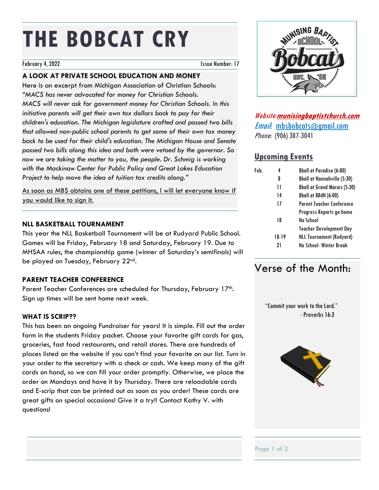# **THE BOBCAT CRY**

#### February 4, 2022 **Issue Number: 17**

# **A LOOK AT PRIVATE SCHOOL EDUCATION AND MONEY**

Here is an excerpt from Michigan Association of Christian Schools: *"MACS has never advocated for money for Christian Schools. MACS will never ask for government money for Christian Schools. In this initiative parents will get their own tax dollars back to pay for their children's education. The Michigan legislature crafted and passed two bills that allowed non-public school parents to get some of their own tax money back to be used for their child's education. The Michigan House and Senate passed two bills along this idea and both were vetoed by the governor. So*  now we are taking the matter to you, the people. Dr. Schmig is working *with the Mackinaw Center for Public Policy and Great Lakes Education Project to help move the idea of tuition tax credits along."*

As soon as MBS obtains one of these petitions, I will let everyone know if you would like to sign it.

## **NLL BASKETBALL TOURNAMENT**

This year the NLL Basketball Tournament will be at Rudyard Public School. Games will be Friday, February 18 and Saturday, February 19. Due to MHSAA rules, the championship game (winner of Saturday's semifinals) will be played on Tuesday, February 22nd.

# **PARENT TEACHER CONFERENCE**

Parent Teacher Conferences are scheduled for Thursday, February 17th. Sign up times will be sent home next week.

## **WHAT IS SCRIP??**

This has been an ongoing Fundraiser for years! It is simple. Fill out the order form in the students Friday packet. Choose your favorite gift cards for gas, groceries, fast food restaurants, and retail stores. There are hundreds of places listed on the website if you can't find your favorite on our list. Turn in your order to the secretary with a check or cash. We keep many of the gift cards on hand, so we can fill your order promptly. Otherwise, we place the order on Mondays and have it by Thursday. There are reloadable cards and E-scrip that can be printed out as soon as you order! These cards are great gifts on special occasions! Give it a try!! Contact Kathy V. with questions!



Website:**munisingbaptistchurch.com** Email: mbsbobcats@gmail.com Phone: (906) 387-3041

# **Upcoming Events**

| Feb. | 4     | <b>Bball at Paradise (6:00)</b>     |
|------|-------|-------------------------------------|
|      | 8     | <b>Bball at Hannahville (5:30)</b>  |
|      | 11    | <b>Bball at Grand Marais (5:30)</b> |
|      | 14    | Bball at BBdN (6:00)                |
|      | 17    | <b>Parent Teacher Conference</b>    |
|      |       | Progress Reports go home            |
|      | 18    | No School                           |
|      |       | <b>Teacher Development Day</b>      |
|      | 18-19 | <b>NLL Tournament (Rudyard)</b>     |
|      | 21    | No School-Winter Break              |
|      |       |                                     |

# Verse of the Month:

 "Commit your work to the Lord." -Proverbs 16:3